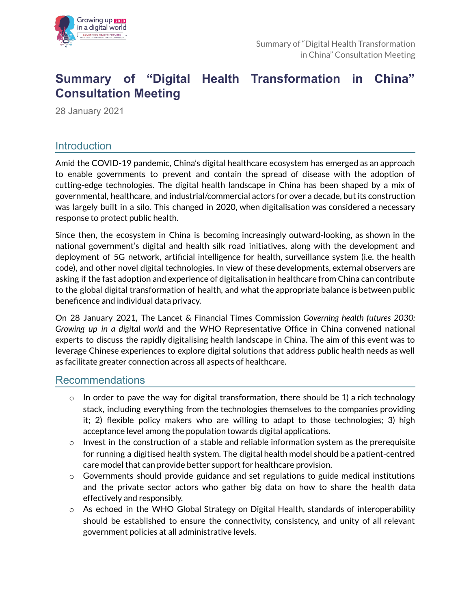

# **Summary of "Digital Health Transformation in China" Consultation Meeting**

28 January 2021

# Introduction

Amid the COVID-19 pandemic, China's digital healthcare ecosystem has emerged as an approach to enable governments to prevent and contain the spread of disease with the adoption of cutting-edge technologies. The digital health landscape in China has been shaped by a mix of governmental, healthcare, and industrial/commercial actors for over a decade, but its construction was largely built in a silo. This changed in 2020, when digitalisation was considered a necessary response to protect public health.

Since then, the ecosystem in China is becoming increasingly outward-looking, as shown in the national government's digital and health silk road initiatives, along with the development and deployment of 5G network, artificial intelligence for health, surveillance system (i.e. the health code), and other novel digital technologies. In view of these developments, external observers are asking if the fast adoption and experience of digitalisation in healthcare from China can contribute to the global digital transformation of health, and what the appropriate balance is between public beneficence and individual data privacy.

On 28 January 2021, The Lancet & Financial Times Commission *Governing health futures 2030: Growing up in a digital world* and the WHO Representative Office in China convened national experts to discuss the rapidly digitalising health landscape in China. The aim of this event was to leverage Chinese experiences to explore digital solutions that address public health needs as well as facilitate greater connection across all aspects of healthcare.

# Recommendations

- $\circ$  In order to pave the way for digital transformation, there should be 1) a rich technology stack, including everything from the technologies themselves to the companies providing it; 2) flexible policy makers who are willing to adapt to those technologies; 3) high acceptance level among the population towards digital applications.
- $\circ$  Invest in the construction of a stable and reliable information system as the prerequisite for running a digitised health system. The digital health model should be a patient-centred care model that can provide better support for healthcare provision.
- o Governments should provide guidance and set regulations to guide medical institutions and the private sector actors who gather big data on how to share the health data effectively and responsibly.
- $\circ$  As echoed in the WHO Global Strategy on Digital Health, standards of interoperability should be established to ensure the connectivity, consistency, and unity of all relevant government policies at all administrative levels.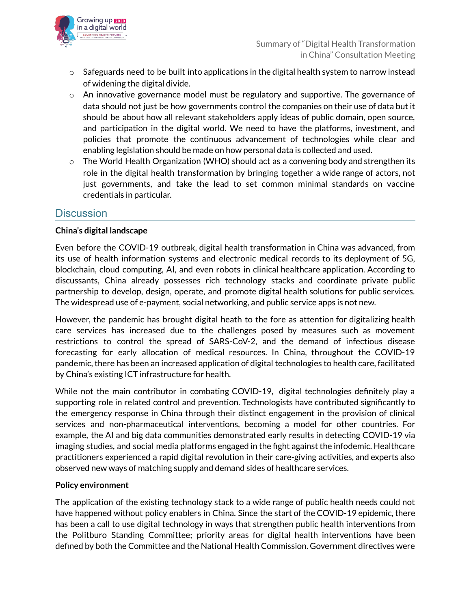

- $\circ$  Safeguards need to be built into applications in the digital health system to narrow instead of widening the digital divide.
- $\circ$  An innovative governance model must be regulatory and supportive. The governance of data should not just be how governments control the companies on their use of data but it should be about how all relevant stakeholders apply ideas of public domain, open source, and participation in the digital world. We need to have the platforms, investment, and policies that promote the continuous advancement of technologies while clear and enabling legislation should be made on how personal data is collected and used.
- $\circ$  The World Health Organization (WHO) should act as a convening body and strengthen its role in the digital health transformation by bringing together a wide range of actors, not just governments, and take the lead to set common minimal standards on vaccine credentials in particular.

# **Discussion**

## **China's digital landscape**

Even before the COVID-19 outbreak, digital health transformation in China was advanced, from its use of health information systems and electronic medical records to its deployment of 5G, blockchain, cloud computing, AI, and even robots in clinical healthcare application. According to discussants, China already possesses rich technology stacks and coordinate private public partnership to develop, design, operate, and promote digital health solutions for public services. The widespread use of e-payment, social networking, and public service apps is not new.

However, the pandemic has brought digital heath to the fore as attention for digitalizing health care services has increased due to the challenges posed by measures such as movement restrictions to control the spread of SARS-CoV-2, and the demand of infectious disease forecasting for early allocation of medical resources. In China, throughout the COVID-19 pandemic, there has been an increased application of digital technologies to health care, facilitated by China's existing ICT infrastructure for health.

While not the main contributor in combating COVID-19, digital technologies definitely play a supporting role in related control and prevention. Technologists have contributed significantly to the emergency response in China through their distinct engagement in the provision of clinical services and non-pharmaceutical interventions, becoming a model for other countries. For example, the AI and big data communities demonstrated early results in detecting COVID-19 via imaging studies, and social media platforms engaged in the fight against the infodemic. Healthcare practitioners experienced a rapid digital revolution in their care-giving activities, and experts also observed new ways of matching supply and demand sides of healthcare services.

#### **Policy environment**

The application of the existing technology stack to a wide range of public health needs could not have happened without policy enablers in China. Since the start of the COVID-19 epidemic, there has been a call to use digital technology in ways that strengthen public health interventions from the Politburo Standing Committee; priority areas for digital health interventions have been defined by both the Committee and the National Health Commission. Government directives were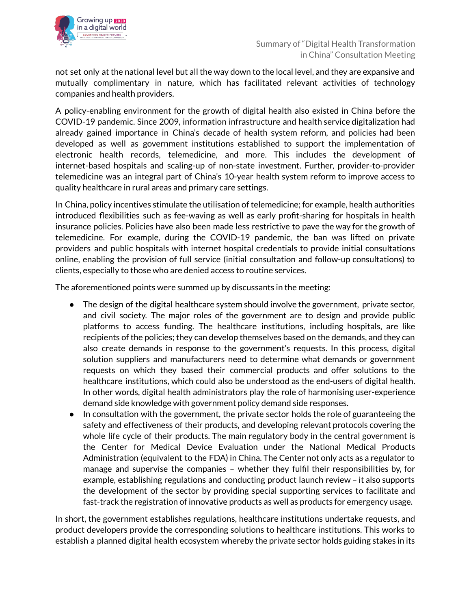

not set only at the national level but all the way down to the local level, and they are expansive and mutually complimentary in nature, which has facilitated relevant activities of technology companies and health providers.

A policy-enabling environment for the growth of digital health also existed in China before the COVID-19 pandemic. Since 2009, information infrastructure and health service digitalization had already gained importance in China's decade of health system reform, and policies had been developed as well as government institutions established to support the implementation of electronic health records, telemedicine, and more. This includes the development of internet-based hospitals and scaling-up of non-state investment. Further, provider-to-provider telemedicine was an integral part of China's 10-year health system reform to improve access to quality healthcare in rural areas and primary care settings.

In China, policy incentives stimulate the utilisation of telemedicine; for example, health authorities introduced flexibilities such as fee-waving as well as early profit-sharing for hospitals in health insurance policies. Policies have also been made less restrictive to pave the way for the growth of telemedicine. For example, during the COVID-19 pandemic, the ban was lifted on private providers and public hospitals with internet hospital credentials to provide initial consultations online, enabling the provision of full service (initial consultation and follow-up consultations) to clients, especially to those who are denied access to routine services.

The aforementioned points were summed up by discussants in the meeting:

- The design of the digital healthcare system should involve the government, private sector, and civil society. The major roles of the government are to design and provide public platforms to access funding. The healthcare institutions, including hospitals, are like recipients of the policies; they can develop themselves based on the demands, and they can also create demands in response to the government's requests. In this process, digital solution suppliers and manufacturers need to determine what demands or government requests on which they based their commercial products and offer solutions to the healthcare institutions, which could also be understood as the end-users of digital health. In other words, digital health administrators play the role of harmonising user-experience demand side knowledge with government policy demand side responses.
- In consultation with the government, the private sector holds the role of guaranteeing the safety and effectiveness of their products, and developing relevant protocols covering the whole life cycle of their products. The main regulatory body in the central government is the Center for Medical Device Evaluation under the National Medical Products Administration (equivalent to the FDA) in China. The Center not only acts as a regulator to manage and supervise the companies – whether they fulfil their responsibilities by, for example, establishing regulations and conducting product launch review – it also supports the development of the sector by providing special supporting services to facilitate and fast-track the registration of innovative products as well as products for emergency usage.

In short, the government establishes regulations, healthcare institutions undertake requests, and product developers provide the corresponding solutions to healthcare institutions. This works to establish a planned digital health ecosystem whereby the private sector holds guiding stakes in its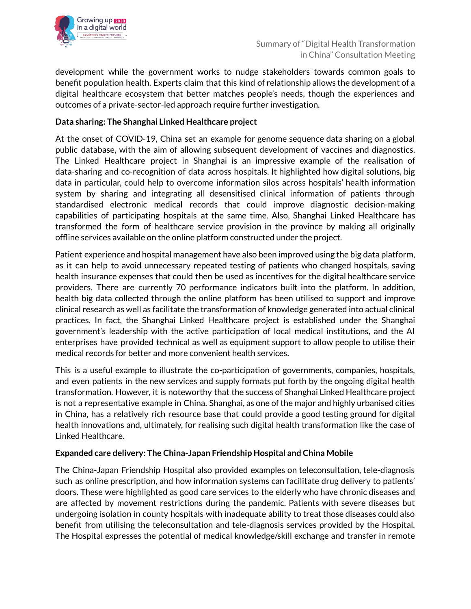

development while the government works to nudge stakeholders towards common goals to benefit population health. Experts claim that this kind of relationship allows the development of a digital healthcare ecosystem that better matches people's needs, though the experiences and outcomes of a private-sector-led approach require further investigation.

## **Data sharing: The Shanghai Linked Healthcare project**

At the onset of COVID-19, China set an example for genome sequence data sharing on a global public database, with the aim of allowing subsequent development of vaccines and diagnostics. The Linked Healthcare project in Shanghai is an impressive example of the realisation of data-sharing and co-recognition of data across hospitals. It highlighted how digital solutions, big data in particular, could help to overcome information silos across hospitals' health information system by sharing and integrating all desensitised clinical information of patients through standardised electronic medical records that could improve diagnostic decision-making capabilities of participating hospitals at the same time. Also, Shanghai Linked Healthcare has transformed the form of healthcare service provision in the province by making all originally offline services available on the online platform constructed under the project.

Patient experience and hospital management have also been improved using the big data platform, as it can help to avoid unnecessary repeated testing of patients who changed hospitals, saving health insurance expenses that could then be used as incentives for the digital healthcare service providers. There are currently 70 performance indicators built into the platform. In addition, health big data collected through the online platform has been utilised to support and improve clinical research as well as facilitate the transformation of knowledge generated into actual clinical practices. In fact, the Shanghai Linked Healthcare project is established under the Shanghai government's leadership with the active participation of local medical institutions, and the AI enterprises have provided technical as well as equipment support to allow people to utilise their medical records for better and more convenient health services.

This is a useful example to illustrate the co-participation of governments, companies, hospitals, and even patients in the new services and supply formats put forth by the ongoing digital health transformation. However, it is noteworthy that the success of Shanghai Linked Healthcare project is not a representative example in China. Shanghai, as one of the major and highly urbanised cities in China, has a relatively rich resource base that could provide a good testing ground for digital health innovations and, ultimately, for realising such digital health transformation like the case of Linked Healthcare.

#### **Expanded care delivery: The China-Japan Friendship Hospital and China Mobile**

The China-Japan Friendship Hospital also provided examples on teleconsultation, tele-diagnosis such as online prescription, and how information systems can facilitate drug delivery to patients' doors. These were highlighted as good care services to the elderly who have chronic diseases and are affected by movement restrictions during the pandemic. Patients with severe diseases but undergoing isolation in county hospitals with inadequate ability to treat those diseases could also benefit from utilising the teleconsultation and tele-diagnosis services provided by the Hospital. The Hospital expresses the potential of medical knowledge/skill exchange and transfer in remote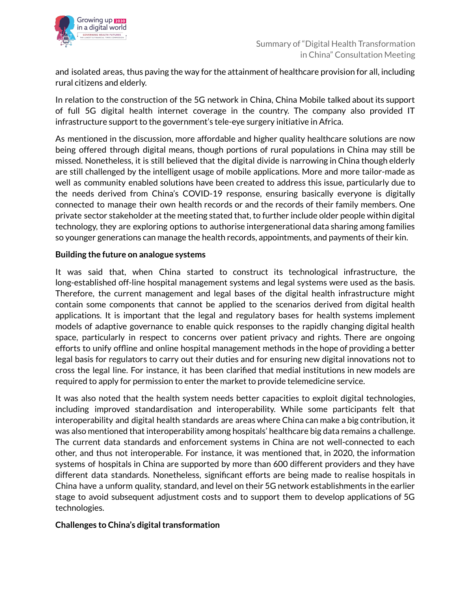and isolated areas, thus paving the way for the attainment of healthcare provision for all, including rural citizens and elderly.

In relation to the construction of the 5G network in China, China Mobile talked about its support of full 5G digital health internet coverage in the country. The company also provided IT infrastructure support to the government's tele-eye surgery initiative in Africa.

As mentioned in the discussion, more affordable and higher quality healthcare solutions are now being offered through digital means, though portions of rural populations in China may still be missed. Nonetheless, it is still believed that the digital divide is narrowing in China though elderly are still challenged by the intelligent usage of mobile applications. More and more tailor-made as well as community enabled solutions have been created to address this issue, particularly due to the needs derived from China's COVID-19 response, ensuring basically everyone is digitally connected to manage their own health records or and the records of their family members. One private sector stakeholder at the meeting stated that, to further include older people within digital technology, they are exploring options to authorise intergenerational data sharing among families so younger generations can manage the health records, appointments, and payments of their kin.

### **Building the future on analogue systems**

It was said that, when China started to construct its technological infrastructure, the long-established off-line hospital management systems and legal systems were used as the basis. Therefore, the current management and legal bases of the digital health infrastructure might contain some components that cannot be applied to the scenarios derived from digital health applications. It is important that the legal and regulatory bases for health systems implement models of adaptive governance to enable quick responses to the rapidly changing digital health space, particularly in respect to concerns over patient privacy and rights. There are ongoing efforts to unify offline and online hospital management methods in the hope of providing a better legal basis for regulators to carry out their duties and for ensuring new digital innovations not to cross the legal line. For instance, it has been clarified that medial institutions in new models are required to apply for permission to enter the market to provide telemedicine service.

It was also noted that the health system needs better capacities to exploit digital technologies, including improved standardisation and interoperability. While some participants felt that interoperability and digital health standards are areas where China can make a big contribution, it was also mentioned that interoperability among hospitals' healthcare big data remains a challenge. The current data standards and enforcement systems in China are not well-connected to each other, and thus not interoperable. For instance, it was mentioned that, in 2020, the information systems of hospitals in China are supported by more than 600 different providers and they have different data standards. Nonetheless, significant efforts are being made to realise hospitals in China have a unform quality, standard, and level on their 5G network establishments in the earlier stage to avoid subsequent adjustment costs and to support them to develop applications of 5G technologies.

#### **Challenges to China's digital transformation**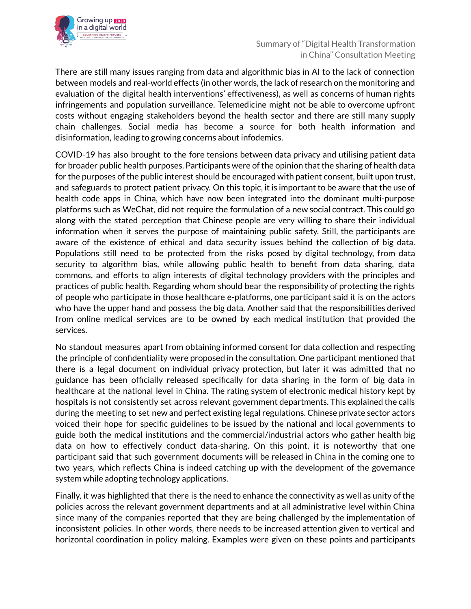

There are still many issues ranging from data and algorithmic bias in AI to the lack of connection between models and real-world effects (in other words, the lack of research on the monitoring and evaluation of the digital health interventions' effectiveness), as well as concerns of human rights infringements and population surveillance. Telemedicine might not be able to overcome upfront costs without engaging stakeholders beyond the health sector and there are still many supply chain challenges. Social media has become a source for both health information and disinformation, leading to growing concerns about infodemics.

COVID-19 has also brought to the fore tensions between data privacy and utilising patient data for broader public health purposes. Participants were of the opinion that the sharing of health data for the purposes of the public interest should be encouraged with patient consent, built upon trust, and safeguards to protect patient privacy. On this topic, it is important to be aware that the use of health code apps in China, which have now been integrated into the dominant multi-purpose platforms such as WeChat, did not require the formulation of a new social contract. This could go along with the stated perception that Chinese people are very willing to share their individual information when it serves the purpose of maintaining public safety. Still, the participants are aware of the existence of ethical and data security issues behind the collection of big data. Populations still need to be protected from the risks posed by digital technology, from data security to algorithm bias, while allowing public health to benefit from data sharing, data commons, and efforts to align interests of digital technology providers with the principles and practices of public health. Regarding whom should bear the responsibility of protecting the rights of people who participate in those healthcare e-platforms, one participant said it is on the actors who have the upper hand and possess the big data. Another said that the responsibilities derived from online medical services are to be owned by each medical institution that provided the services.

No standout measures apart from obtaining informed consent for data collection and respecting the principle of confidentiality were proposed in the consultation. One participant mentioned that there is a legal document on individual privacy protection, but later it was admitted that no guidance has been officially released specifically for data sharing in the form of big data in healthcare at the national level in China. The rating system of electronic medical history kept by hospitals is not consistently set across relevant government departments. This explained the calls during the meeting to set new and perfect existing legal regulations. Chinese private sector actors voiced their hope for specific guidelines to be issued by the national and local governments to guide both the medical institutions and the commercial/industrial actors who gather health big data on how to effectively conduct data-sharing. On this point, it is noteworthy that one participant said that such government documents will be released in China in the coming one to two years, which reflects China is indeed catching up with the development of the governance system while adopting technology applications.

Finally, it was highlighted that there is the need to enhance the connectivity as well as unity of the policies across the relevant government departments and at all administrative level within China since many of the companies reported that they are being challenged by the implementation of inconsistent policies. In other words, there needs to be increased attention given to vertical and horizontal coordination in policy making. Examples were given on these points and participants